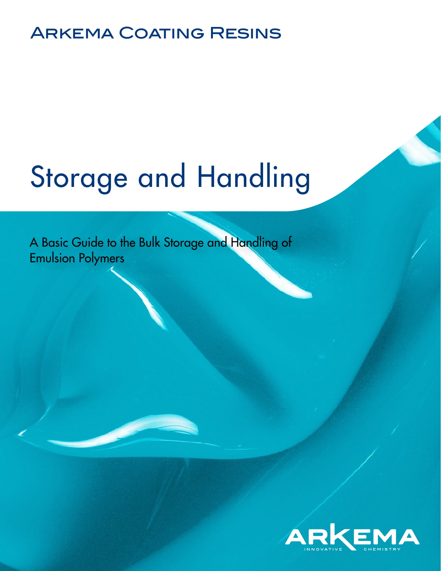## Arkema Coating Resins

# [Storage and Handling](http://americas.arkemacoatingresins.com/en/)

A Basic Guide to the Bulk Storage and Handling of Emulsion Polymers

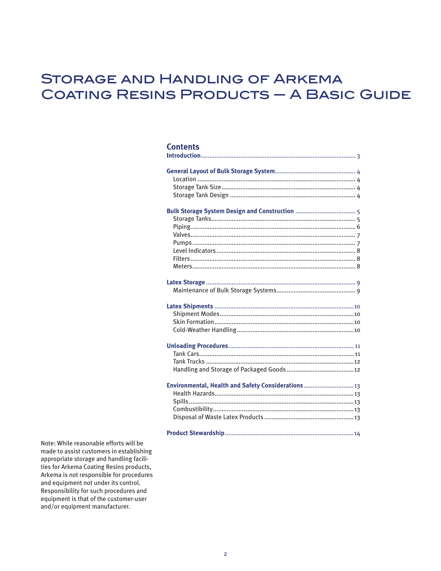## **STORAGE AND HANDLING OF ARKEMA COATING RESINS PRODUCTS - A BASIC GUIDE**

#### **Contents**

| Environmental, Health and Safety Considerations 13 |
|----------------------------------------------------|

Note: While reasonable efforts will be made to assist customers in establishing appropriate storage and handling facilities for Arkema Coating Resins products, Arkema is not responsible for procedures and equipment not under its control. Responsibility for such procedures and equipment is that of the customer-user and/or equipment manufacturer.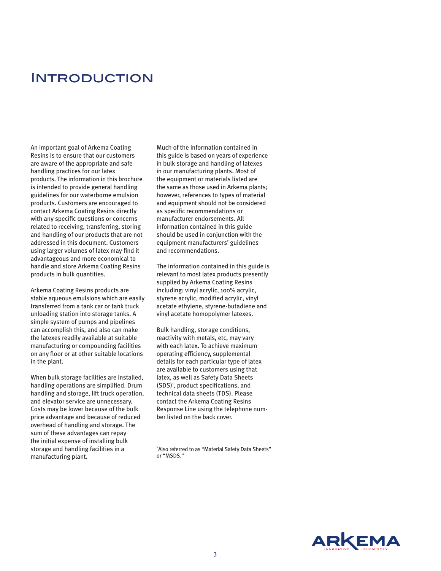### **INTRODUCTION**

An important goal of Arkema Coating Resins is to ensure that our customers are aware of the appropriate and safe handling practices for our latex products. The information in this brochure is intended to provide general handling guidelines for our waterborne emulsion products. Customers are encouraged to contact Arkema Coating Resins directly with any specific questions or concerns related to receiving, transferring, storing and handling of our products that are not addressed in this document. Customers using larger volumes of latex may find it advantageous and more economical to handle and store Arkema Coating Resins products in bulk quantities.

Arkema Coating Resins products are stable aqueous emulsions which are easily transferred from a tank car or tank truck unloading station into storage tanks. A simple system of pumps and pipelines can accomplish this, and also can make the latexes readily available at suitable manufacturing or compounding facilities on any floor or at other suitable locations in the plant.

When bulk storage facilities are installed, handling operations are simplified. Drum handling and storage, lift truck operation, and elevator service are unnecessary. Costs may be lower because of the bulk price advantage and because of reduced overhead of handling and storage. The sum of these advantages can repay the initial expense of installing bulk storage and handling facilities in a manufacturing plant.

Much of the information contained in this guide is based on years of experience in bulk storage and handling of latexes in our manufacturing plants. Most of the equipment or materials listed are the same as those used in Arkema plants; however, references to types of material and equipment should not be considered as specific recommendations or manufacturer endorsements. All information contained in this guide should be used in conjunction with the equipment manufacturers' guidelines and recommendations.

The information contained in this guide is relevant to most latex products presently supplied by Arkema Coating Resins including: vinyl acrylic, 100% acrylic, styrene acrylic, modified acrylic, vinyl acetate ethylene, styrene-butadiene and vinyl acetate homopolymer latexes.

Bulk handling, storage conditions, reactivity with metals, etc, may vary with each latex. To achieve maximum operating efficiency, supplemental details for each particular type of latex are available to customers using that latex, as well as Safety Data Sheets (SDS)<sup>1</sup>, product specifications, and technical data sheets (TDS). Please contact the Arkema Coating Resins Response Line using the telephone number listed on the back cover.



<sup>1</sup> Also referred to as "Material Safety Data Sheets" or "MSDS."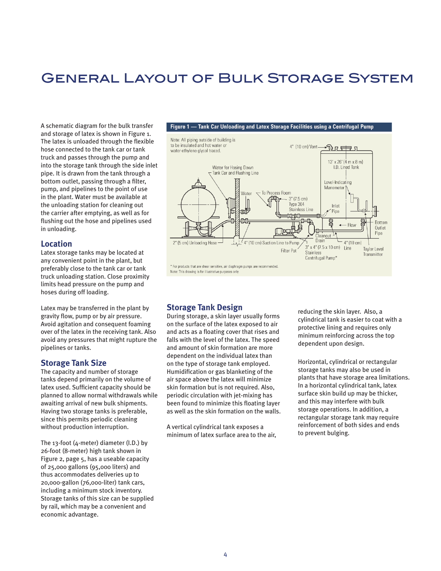## General Layout of Bulk Storage System

A schematic diagram for the bulk transfer and storage of latex is shown in Figure 1. The latex is unloaded through the flexible hose connected to the tank car or tank truck and passes through the pump and into the storage tank through the side inlet pipe. It is drawn from the tank through a bottom outlet, passing through a filter, pump, and pipelines to the point of use in the plant. Water must be available at the unloading station for cleaning out the carrier after emptying, as well as for flushing out the hose and pipelines used in unloading.

#### **Location**

Latex storage tanks may be located at any convenient point in the plant, but preferably close to the tank car or tank truck unloading station. Close proximity limits head pressure on the pump and hoses during off loading.

Latex may be transferred in the plant by gravity flow, pump or by air pressure. Avoid agitation and consequent foaming over of the latex in the receiving tank. Also avoid any pressures that might rupture the pipelines or tanks.

#### **Storage Tank Size**

The capacity and number of storage tanks depend primarily on the volume of latex used. Sufficient capacity should be planned to allow normal withdrawals while awaiting arrival of new bulk shipments. Having two storage tanks is preferable, since this permits periodic cleaning without production interruption.

The 13-foot (4-meter) diameter (I.D.) by 26-foot (8-meter) high tank shown in Figure 2, page 5, has a useable capacity of 25,000 gallons (95,000 liters) and thus accommodates deliveries up to 20,000-gallon (76,000-liter) tank cars, including a minimum stock inventory. Storage tanks of this size can be supplied by rail, which may be a convenient and economic advantage.



#### **Storage Tank Design**

During storage, a skin layer usually forms on the surface of the latex exposed to air and acts as a floating cover that rises and falls with the level of the latex. The speed and amount of skin formation are more dependent on the individual latex than on the type of storage tank employed. Humidification or gas blanketing of the air space above the latex will minimize skin formation but is not required. Also, periodic circulation with jet-mixing has been found to minimize this floating layer as well as the skin formation on the walls.

A vertical cylindrical tank exposes a minimum of latex surface area to the air,

reducing the skin layer. Also, a cylindrical tank is easier to coat with a protective lining and requires only minimum reinforcing across the top dependent upon design.

Horizontal, cylindrical or rectangular storage tanks may also be used in plants that have storage area limitations. In a horizontal cylindrical tank, latex surface skin build up may be thicker, and this may interfere with bulk storage operations. In addition, a rectangular storage tank may require reinforcement of both sides and ends to prevent bulging.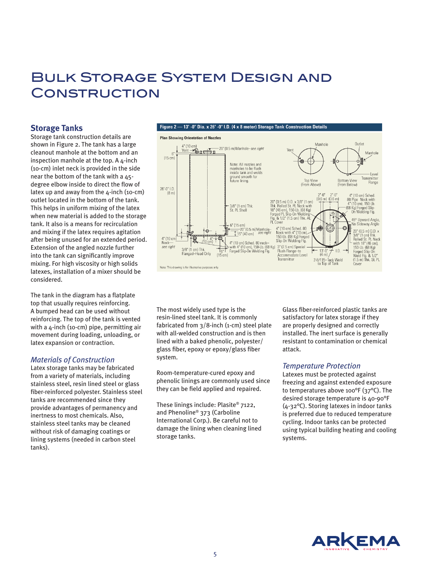## Bulk Storage System Design and **CONSTRUCTION**

#### **Storage Tanks**

Storage tank construction details are shown in Figure 2. The tank has a large cleanout manhole at the bottom and an inspection manhole at the top. A  $\Delta$ -inch (10-cm) inlet neck is provided in the side near the bottom of the tank with a 45 degree elbow inside to direct the flow of latex up and away from the  $4$ -inch (10-cm) outlet located in the bottom of the tank. This helps in uniform mixing of the latex when new material is added to the storage tank. It also is a means for recirculation and mixing if the latex requires agitation after being unused for an extended period. Extension of the angled nozzle further into the tank can significantly improve mixing. For high viscosity or high solids latexes, installation of a mixer should be considered.

The tank in the diagram has a flatplate top that usually requires reinforcing. A bumped head can be used without reinforcing. The top of the tank is vented with a 4-inch (10-cm) pipe, permitting air movement during loading, unloading, or latex expansion or contraction.

#### *Materials of Construction*

Latex storage tanks may be fabricated from a variety of materials, including stainless steel, resin lined steel or glass fiber-reinforced polyester. Stainless steel tanks are recommended since they provide advantages of permanency and inertness to most chemicals. Also, stainless steel tanks may be cleaned without risk of damaging coatings or lining systems (needed in carbon steel tanks).



The most widely used type is the resin-lined steel tank. It is commonly fabricated from 3/8-inch (1-cm) steel plate with all-welded construction and is then lined with a baked phenolic, polyester/ glass fiber, epoxy or epoxy/glass fiber system.

Room-temperature-cured epoxy and phenolic linings are commonly used since they can be field applied and repaired.

These linings include: Plasite® 7122, and Phenoline® 373 (Carboline International Corp.). Be careful not to damage the lining when cleaning lined storage tanks.

Glass fiber-reinforced plastic tanks are satisfactory for latex storage if they are properly designed and correctly installed. The inert surface is generally resistant to contamination or chemical attack.

#### *Temperature Protection*

Latexes must be protected against freezing and against extended exposure to temperatures above 100°F (37°C). The desired storage temperature is 40-90°F (4-32°C). Storing latexes in indoor tanks is preferred due to reduced temperature cycling. Indoor tanks can be protected using typical building heating and cooling systems.

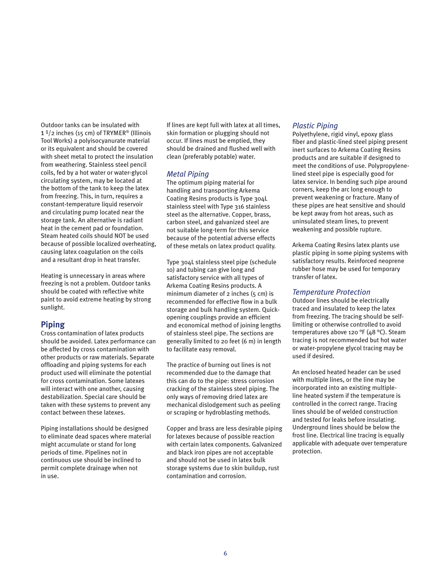Outdoor tanks can be insulated with  $1<sup>1</sup>/2$  inches (15 cm) of TRYMER<sup>®</sup> (Illinois Tool Works) a polyisocyanurate material or its equivalent and should be covered with sheet metal to protect the insulation from weathering. Stainless steel pencil coils, fed by a hot water or water-glycol circulating system, may be located at the bottom of the tank to keep the latex from freezing. This, in turn, requires a constant-temperature liquid reservoir and circulating pump located near the storage tank. An alternative is radiant heat in the cement pad or foundation. Steam heated coils should NOT be used because of possible localized overheating, causing latex coagulation on the coils and a resultant drop in heat transfer.

Heating is unnecessary in areas where freezing is not a problem. Outdoor tanks should be coated with reflective white paint to avoid extreme heating by strong sunlight.

#### **Piping**

Cross contamination of latex products should be avoided. Latex performance can be affected by cross contamination with other products or raw materials. Separate offloading and piping systems for each product used will eliminate the potential for cross contamination. Some latexes will interact with one another, causing destabilization. Special care should be taken with these systems to prevent any contact between these latexes.

Piping installations should be designed to eliminate dead spaces where material might accumulate or stand for long periods of time. Pipelines not in continuous use should be inclined to permit complete drainage when not in use.

If lines are kept full with latex at all times, skin formation or plugging should not occur. If lines must be emptied, they should be drained and flushed well with clean (preferably potable) water.

#### *Metal Piping*

The optimum piping material for handling and transporting Arkema Coating Resins products is Type 304L stainless steel with Type 316 stainless steel as the alternative. Copper, brass, carbon steel, and galvanized steel are not suitable long-term for this service because of the potential adverse effects of these metals on latex product quality.

Type 304L stainless steel pipe (schedule 10) and tubing can give long and satisfactory service with all types of Arkema Coating Resins products. A minimum diameter of  $2$  inches ( $5 \text{ cm}$ ) is recommended for effective flow in a bulk storage and bulk handling system. Quickopening couplings provide an efficient and economical method of joining lengths of stainless steel pipe. The sections are generally limited to 20 feet (6 m) in length to facilitate easy removal.

The practice of burning out lines is not recommended due to the damage that this can do to the pipe: stress corrosion cracking of the stainless steel piping. The only ways of removing dried latex are mechanical dislodgement such as peeling or scraping or hydroblasting methods.

Copper and brass are less desirable piping for latexes because of possible reaction with certain latex components. Galvanized and black iron pipes are not acceptable and should not be used in latex bulk storage systems due to skin buildup, rust contamination and corrosion.

#### *Plastic Piping*

Polyethylene, rigid vinyl, epoxy glass fiber and plastic-lined steel piping present inert surfaces to Arkema Coating Resins products and are suitable if designed to meet the conditions of use. Polypropylenelined steel pipe is especially good for latex service. In bending such pipe around corners, keep the arc long enough to prevent weakening or fracture. Many of these pipes are heat sensitive and should be kept away from hot areas, such as uninsulated steam lines, to prevent weakening and possible rupture.

Arkema Coating Resins latex plants use plastic piping in some piping systems with satisfactory results. Reinforced neoprene rubber hose may be used for temporary transfer of latex.

#### *Temperature Protection*

Outdoor lines should be electrically traced and insulated to keep the latex from freezing. The tracing should be selflimiting or otherwise controlled to avoid temperatures above 120 °F (48 °C). Steam tracing is not recommended but hot water or water-propylene glycol tracing may be used if desired.

An enclosed heated header can be used with multiple lines, or the line may be incorporated into an existing multipleline heated system if the temperature is controlled in the correct range. Tracing lines should be of welded construction and tested for leaks before insulating. Underground lines should be below the frost line. Electrical line tracing is equally applicable with adequate over temperature protection.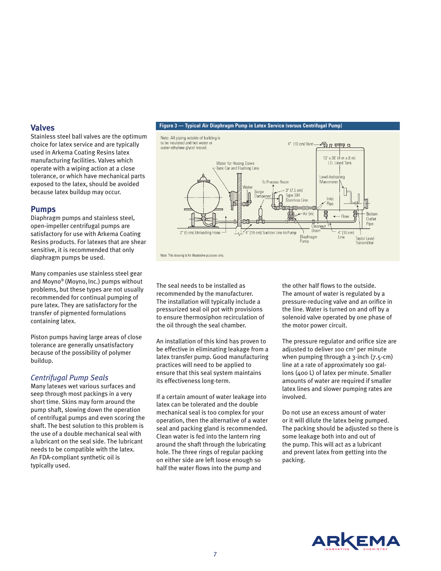#### **Valves**

Stainless steel ball valves are the optimum choice for latex service and are typically used in Arkema Coating Resins latex manufacturing facilities. Valves which operate with a wiping action at a close tolerance, or which have mechanical parts exposed to the latex, should be avoided because latex buildup may occur.

#### **Pumps**

Diaphragm pumps and stainless steel, open-impeller centrifugal pumps are satisfactory for use with Arkema Coating Resins products. For latexes that are shear sensitive, it is recommended that only diaphragm pumps be used.

Many companies use stainless steel gear and Moyno® (Moyno, Inc.) pumps without problems, but these types are not usually recommended for continual pumping of pure latex. They are satisfactory for the transfer of pigmented formulations containing latex.

Piston pumps having large areas of close tolerance are generally unsatisfactory because of the possibility of polymer buildup.

#### *Centrifugal Pump Seals*

Many latexes wet various surfaces and seep through most packings in a very short time. Skins may form around the pump shaft, slowing down the operation of centrifugal pumps and even scoring the shaft. The best solution to this problem is the use of a double mechanical seal with a lubricant on the seal side. The lubricant needs to be compatible with the latex. An FDA-compliant synthetic oil is typically used.

#### Figure 3 - Typical Air Diaphragm Pump in Latex Service (versus Centrifugal Pump)



The seal needs to be installed as recommended by the manufacturer. The installation will typically include a pressurized seal oil pot with provisions to ensure thermosiphon recirculation of the oil through the seal chamber.

An installation of this kind has proven to be effective in eliminating leakage from a latex transfer pump. Good manufacturing practices will need to be applied to ensure that this seal system maintains its effectiveness long-term.

If a certain amount of water leakage into latex can be tolerated and the double mechanical seal is too complex for your operation, then the alternative of a water seal and packing gland is recommended. Clean water is fed into the lantern ring around the shaft through the lubricating hole. The three rings of regular packing on either side are left loose enough so half the water flows into the pump and

the other half flows to the outside. The amount of water is regulated by a pressure-reducing valve and an orifice in the line. Water is turned on and off by a solenoid valve operated by one phase of the motor power circuit.

The pressure regulator and orifice size are adjusted to deliver 100 cm<sup>3</sup> per minute when pumping through a 3-inch (7.5-cm) line at a rate of approximately 100 gallons (400 L) of latex per minute. Smaller amounts of water are required if smaller latex lines and slower pumping rates are involved.

Do not use an excess amount of water or it will dilute the latex being pumped. The packing should be adjusted so there is some leakage both into and out of the pump. This will act as a lubricant and prevent latex from getting into the packing.

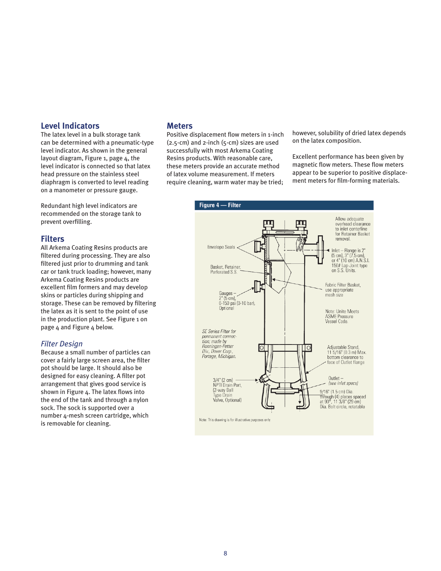#### **Level Indicators**

The latex level in a bulk storage tank can be determined with a pneumatic-type level indicator. As shown in the general layout diagram, Figure 1, page 4, the level indicator is connected so that latex head pressure on the stainless steel diaphragm is converted to level reading on a manometer or pressure gauge.

Redundant high level indicators are recommended on the storage tank to prevent overfilling.

#### **Filters**

All Arkema Coating Resins products are filtered during processing. They are also filtered just prior to drumming and tank car or tank truck loading; however, many Arkema Coating Resins products are excellent film formers and may develop skins or particles during shipping and storage. These can be removed by filtering the latex as it is sent to the point of use in the production plant. See Figure 1 on page 4 and Figure 4 below.

#### *Filter Design*

Because a small number of particles can cover a fairly large screen area, the filter pot should be large. It should also be designed for easy cleaning. A filter pot arrangement that gives good service is shown in Figure 4. The latex flows into the end of the tank and through a nylon sock. The sock is supported over a number 4-mesh screen cartridge, which is removable for cleaning.

#### **Meters**

Positive displacement flow meters in 1-inch (2.5-cm) and 2-inch (5-cm) sizes are used successfully with most Arkema Coating Resins products. With reasonable care, these meters provide an accurate method of latex volume measurement. If meters require cleaning, warm water may be tried;

however, solubility of dried latex depends on the latex composition.

Excellent performance has been given by magnetic flow meters. These flow meters appear to be superior to positive displacement meters for film-forming materials.

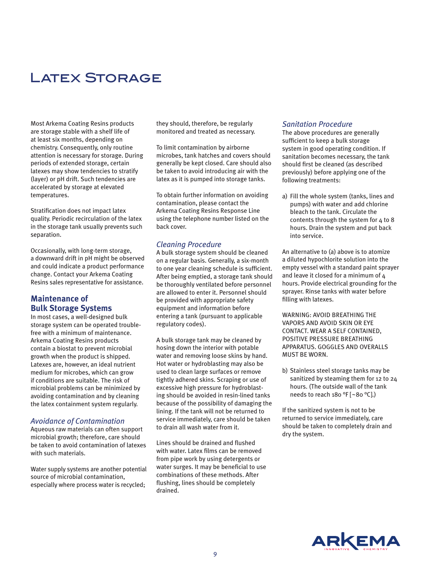## Latex Storage

Most Arkema Coating Resins products are storage stable with a shelf life of at least six months, depending on chemistry. Consequently, only routine attention is necessary for storage. During periods of extended storage, certain latexes may show tendencies to stratify (layer) or pH drift. Such tendencies are accelerated by storage at elevated temperatures.

Stratification does not impact latex quality. Periodic recirculation of the latex in the storage tank usually prevents such separation.

Occasionally, with long-term storage, a downward drift in pH might be observed and could indicate a product performance change. Contact your Arkema Coating Resins sales representative for assistance.

#### **Maintenance of Bulk Storage Systems**

In most cases, a well-designed bulk storage system can be operated troublefree with a minimum of maintenance. Arkema Coating Resins products contain a biostat to prevent microbial growth when the product is shipped. Latexes are, however, an ideal nutrient medium for microbes, which can grow if conditions are suitable. The risk of microbial problems can be minimized by avoiding contamination and by cleaning the latex containment system regularly.

#### *Avoidance of Contamination*

Aqueous raw materials can often support microbial growth; therefore, care should be taken to avoid contamination of latexes with such materials.

Water supply systems are another potential source of microbial contamination, especially where process water is recycled;

they should, therefore, be regularly monitored and treated as necessary.

To limit contamination by airborne microbes, tank hatches and covers should generally be kept closed. Care should also be taken to avoid introducing air with the latex as it is pumped into storage tanks.

To obtain further information on avoiding contamination, please contact the Arkema Coating Resins Response Line using the telephone number listed on the back cover.

#### *Cleaning Procedure*

A bulk storage system should be cleaned on a regular basis. Generally, a six-month to one year cleaning schedule is sufficient. After being emptied, a storage tank should be thoroughly ventilated before personnel are allowed to enter it. Personnel should be provided with appropriate safety equipment and information before entering a tank (pursuant to applicable regulatory codes).

A bulk storage tank may be cleaned by hosing down the interior with potable water and removing loose skins by hand. Hot water or hydroblasting may also be used to clean large surfaces or remove tightly adhered skins. Scraping or use of excessive high pressure for hydroblasting should be avoided in resin-lined tanks because of the possibility of damaging the lining. If the tank will not be returned to service immediately, care should be taken to drain all wash water from it.

Lines should be drained and flushed with water. Latex films can be removed from pipe work by using detergents or water surges. It may be beneficial to use combinations of these methods. After flushing, lines should be completely drained.

#### *Sanitation Procedure*

The above procedures are generally sufficient to keep a bulk storage system in good operating condition. If sanitation becomes necessary, the tank should first be cleaned (as described previously) before applying one of the following treatments:

a) Fill the whole system (tanks, lines and pumps) with water and add chlorine bleach to the tank. Circulate the contents through the system for 4 to 8 hours. Drain the system and put back into service.

An alternative to (a) above is to atomize a diluted hypochlorite solution into the empty vessel with a standard paint sprayer and leave it closed for a minimum of 4 hours. Provide electrical grounding for the sprayer. Rinse tanks with water before filling with latexes.

WARNING: AVOID BREATHING THE VAPORS AND AVOID SKIN OR EYE CONTACT. WEAR A SELF CONTAINED, POSITIVE PRESSURE BREATHING APPARATUS. GOGGLES AND OVERALLS MUST BE WORN.

b) Stainless steel storage tanks may be sanitized by steaming them for 12 to 24 hours. (The outside wall of the tank needs to reach 180 °F [~80 °C].)

If the sanitized system is not to be returned to service immediately, care should be taken to completely drain and dry the system.

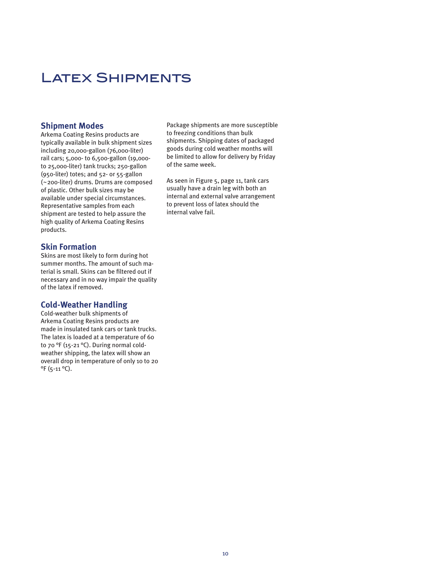## LATEX SHIPMENTS

#### **Shipment Modes**

Arkema Coating Resins products are typically available in bulk shipment sizes including 20,000-gallon (76,000-liter) rail cars; 5,000- to 6,500-gallon (19,000 to 25,000-liter) tank trucks; 250-gallon (950-liter) totes; and 52- or 55-gallon (~200-liter) drums. Drums are composed of plastic. Other bulk sizes may be available under special circumstances. Representative samples from each shipment are tested to help assure the high quality of Arkema Coating Resins products.

#### **Skin Formation**

Skins are most likely to form during hot summer months. The amount of such material is small. Skins can be filtered out if necessary and in no way impair the quality of the latex if removed.

#### **Cold-Weather Handling**

Cold-weather bulk shipments of Arkema Coating Resins products are made in insulated tank cars or tank trucks. The latex is loaded at a temperature of 60 to 70 °F (15-21 °C). During normal coldweather shipping, the latex will show an overall drop in temperature of only 10 to 20 °F (5-11 °C).

Package shipments are more susceptible to freezing conditions than bulk shipments. Shipping dates of packaged goods during cold weather months will be limited to allow for delivery by Friday of the same week.

As seen in Figure 5, page 11, tank cars usually have a drain leg with both an internal and external valve arrangement to prevent loss of latex should the internal valve fail.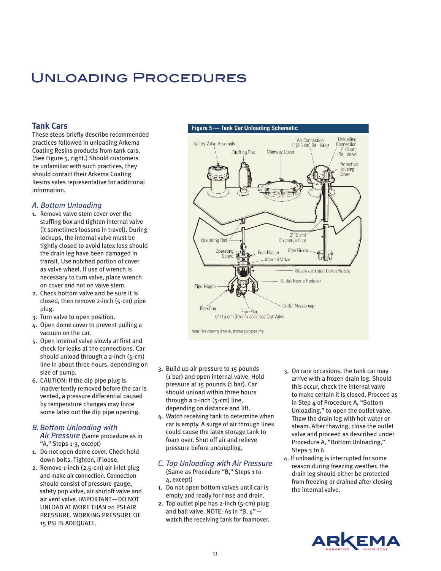## Unloading Procedures

#### **Tank Cars**

These steps briefly describe recommended practices followed in unloading Arkema Coating Resins products from tank cars. (See Figure 5, right.) Should customers be unfamiliar with such practices, they should contact their Arkema Coating Resins sales representative for additional information.

#### *A. Bottom Unloading*

- 1. Remove valve stem cover over the stuffing box and tighten internal valve (it sometimes loosens in travel). During lockups, the internal valve must be tightly closed to avoid latex loss should the drain leg have been damaged in transit. Use notched portion of cover as valve wheel. If use of wrench is necessary to turn valve, place wrench on cover and not on valve stem.
- 2. Check bottom valve and be sure it is closed, then remove 2-inch (5-cm) pipe plug.
- 3. Turn valve to open position.
- 4. Open dome cover to prevent pulling a vacuum on the car.
- 5. Open internal valve slowly at first and check for leaks at the connections. Car should unload through a 2-inch (5-cm) line in about three hours, depending on size of pump.
- 6. CAUTION: If the dip pipe plug is inadvertently removed before the car is vented, a pressure differential caused by temperature changes may force some latex out the dip pipe opening.

#### *B.Bottom Unloading with*

*Air Pressure* (Same procedure as in "A," Steps 1-3, except)

- 1. Do not open dome cover. Check hold down bolts. Tighten, if loose.
- 2. Remove 1-inch (2.5-cm) air inlet plug and make air connection. Connection should consist of pressure gauge, safety pop valve, air shutoff valve and air vent valve. IMPORTANT—DO NOT UNLOAD AT MORE THAN 20 PSI AIR PRESSURE. WORKING PRESSURE OF 15 PSI IS ADEQUATE.



- 3. Build up air pressure to 15 pounds (1 bar) and open internal valve. Hold pressure at 15 pounds (1 bar). Car should unload within three hours through a 2-inch (5-cm) line, depending on distance and lift.
- 4. Watch receiving tank to determine when car is empty. A surge of air through lines could cause the latex storage tank to foam over. Shut off air and relieve pressure before uncoupling.
- *C. Top Unloading with Air Pressure* (Same as Procedure "B," Steps 1 to 4, except)
- 1. Do not open bottom valves until car is empty and ready for rinse and drain.
- 2. Top outlet pipe has 2-inch (5-cm) plug and ball valve. NOTE: As in "B, 4" watch the receiving tank for foamover.
- 3. On rare occasions, the tank car may arrive with a frozen drain leg. Should this occur, check the internal valve to make certain it is closed. Proceed as in Step 4 of Procedure A, "Bottom Unloading," to open the outlet valve. Thaw the drain leg with hot water or steam. After thawing, close the outlet valve and proceed as described under Procedure A, "Bottom Unloading," Steps 3 to 6
- 4. If unloading is interrupted for some reason during freezing weather, the drain leg should either be protected from freezing or drained after closing the internal valve.

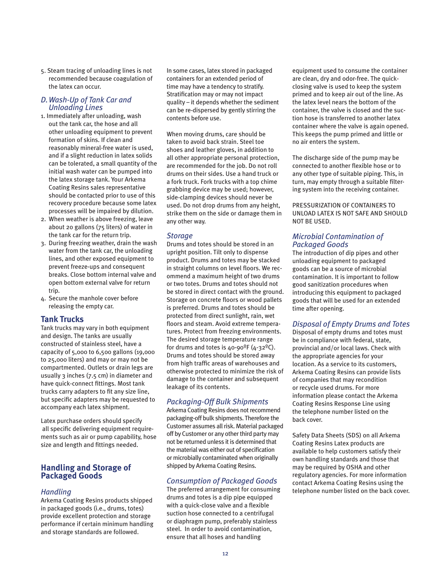5. Steam tracing of unloading lines is not recommended because coagulation of the latex can occur.

#### *D.Wash-Up of Tank Car and Unloading Lines*

- 1. Immediately after unloading, wash out the tank car, the hose and all other unloading equipment to prevent formation of skins. If clean and reasonably mineral-free water is used, and if a slight reduction in latex solids can be tolerated, a small quantity of the initial wash water can be pumped into the latex storage tank. Your Arkema Coating Resins sales representative should be contacted prior to use of this recovery procedure because some latex processes will be impaired by dilution.
- 2. When weather is above freezing, leave about 20 gallons (75 liters) of water in the tank car for the return trip.
- 3. During freezing weather, drain the wash water from the tank car, the unloading lines, and other exposed equipment to prevent freeze-ups and consequent breaks. Close bottom internal valve and open bottom external valve for return trip.
- 4. Secure the manhole cover before releasing the empty car.

#### **Tank Trucks**

Tank trucks may vary in both equipment and design. The tanks are usually constructed of stainless steel, have a capacity of 5,000 to 6,500 gallons (19,000 to 25,000 liters) and may or may not be compartmented. Outlets or drain legs are usually 3 inches (7.5 cm) in diameter and have quick-connect fittings. Most tank trucks carry adapters to fit any size line, but specific adapters may be requested to accompany each latex shipment.

Latex purchase orders should specify all specific delivering equipment requirements such as air or pump capability, hose size and length and fittings needed.

#### **Handling and Storage of Packaged Goods**

#### *Handling*

Arkema Coating Resins products shipped in packaged goods (i.e., drums, totes) provide excellent protection and storage performance if certain minimum handling and storage standards are followed.

In some cases, latex stored in packaged containers for an extended period of time may have a tendency to stratify. Stratification may or may not impact quality – it depends whether the sediment can be re-dispersed by gently stirring the contents before use.

When moving drums, care should be taken to avoid back strain. Steel toe shoes and leather gloves, in addition to all other appropriate personal protection, are recommended for the job. Do not roll drums on their sides. Use a hand truck or a fork truck. Fork trucks with a top chime grabbing device may be used; however, side-clamping devices should never be used. Do not drop drums from any height, strike them on the side or damage them in any other way.

#### *Storage*

Drums and totes should be stored in an upright position. Tilt only to dispense product. Drums and totes may be stacked in straight columns on level floors. We recommend a maximum height of two drums or two totes. Drums and totes should not be stored in direct contact with the ground. Storage on concrete floors or wood pallets is preferred. Drums and totes should be protected from direct sunlight, rain, wet floors and steam. Avoid extreme temperatures. Protect from freezing environments. The desired storage temperature range for drums and totes is  $40-90^{\circ}F(4-32^{\circ}C)$ . Drums and totes should be stored away from high traffic areas of warehouses and otherwise protected to minimize the risk of damage to the container and subsequent leakage of its contents.

#### *Packaging-Off Bulk Shipments*

Arkema Coating Resins does not recommend packaging-off bulk shipments. Therefore the Customer assumes all risk. Material packaged off by Customer or any other third party may not be returned unless it is determined that the material was either out of specification or microbially contaminated when originally shipped by Arkema Coating Resins.

#### *Consumption of Packaged Goods*

The preferred arrangement for consuming drums and totes is a dip pipe equipped with a quick-close valve and a flexible suction hose connected to a centrifugal or diaphragm pump, preferably stainless steel. In order to avoid contamination, ensure that all hoses and handling

equipment used to consume the container are clean, dry and odor-free. The quickclosing valve is used to keep the system primed and to keep air out of the line. As the latex level nears the bottom of the container, the valve is closed and the suction hose is transferred to another latex container where the valve is again opened. This keeps the pump primed and little or no air enters the system.

The discharge side of the pump may be connected to another flexible hose or to any other type of suitable piping. This, in turn, may empty through a suitable filtering system into the receiving container.

PRESSURIZATION OF CONTAINERS TO UNLOAD LATEX IS NOT SAFE AND SHOULD NOT BE USED.

#### *Microbial Contamination of Packaged Goods*

The introduction of dip pipes and other unloading equipment to packaged goods can be a source of microbial contamination. It is important to follow good sanitization procedures when introducing this equipment to packaged goods that will be used for an extended time after opening.

#### *Disposal of Empty Drums and Totes*

Disposal of empty drums and totes must be in compliance with federal, state, provincial and/or local laws. Check with the appropriate agencies for your location. As a service to its customers, Arkema Coating Resins can provide lists of companies that may recondition or recycle used drums. For more information please contact the Arkema Coating Resins Response Line using the telephone number listed on the back cover.

Safety Data Sheets (SDS) on all Arkema Coating Resins Latex products are available to help customers satisfy their own handling standards and those that may be required by OSHA and other regulatory agencies. For more information contact Arkema Coating Resins using the telephone number listed on the back cover.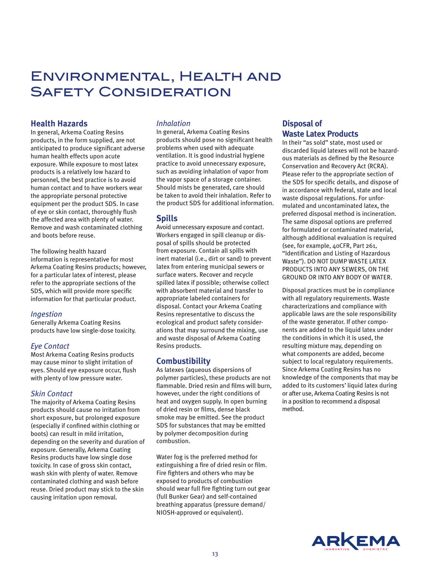## Environmental, Health and Safety Consideration

#### **Health Hazards**

In general, Arkema Coating Resins products, in the form supplied, are not anticipated to produce significant adverse human health effects upon acute exposure. While exposure to most latex products is a relatively low hazard to personnel, the best practice is to avoid human contact and to have workers wear the appropriate personal protective equipment per the product SDS. In case of eye or skin contact, thoroughly flush the affected area with plenty of water. Remove and wash contaminated clothing and boots before reuse.

The following health hazard information is representative for most Arkema Coating Resins products; however, for a particular latex of interest, please refer to the appropriate sections of the SDS, which will provide more specific information for that particular product.

#### *Ingestion*

Generally Arkema Coating Resins products have low single-dose toxicity.

#### *Eye Contact*

Most Arkema Coating Resins products may cause minor to slight irritation of eyes. Should eye exposure occur, flush with plenty of low pressure water.

#### *Skin Contact*

The majority of Arkema Coating Resins products should cause no irritation from short exposure, but prolonged exposure (especially if confined within clothing or boots) can result in mild irritation, depending on the severity and duration of exposure. Generally, Arkema Coating Resins products have low single dose toxicity. In case of gross skin contact, wash skin with plenty of water. Remove contaminated clothing and wash before reuse. Dried product may stick to the skin causing irritation upon removal.

#### *Inhalation*

In general, Arkema Coating Resins products should pose no significant health problems when used with adequate ventilation. It is good industrial hygiene practice to avoid unnecessary exposure, such as avoiding inhalation of vapor from the vapor space of a storage container. Should mists be generated, care should be taken to avoid their inhalation. Refer to the product SDS for additional information.

#### **Spills**

Avoid unnecessary exposure and contact. Workers engaged in spill cleanup or disposal of spills should be protected from exposure. Contain all spills with inert material (i.e., dirt or sand) to prevent latex from entering municipal sewers or surface waters. Recover and recycle spilled latex if possible; otherwise collect with absorbent material and transfer to appropriate labeled containers for disposal. Contact your Arkema Coating Resins representative to discuss the ecological and product safety considerations that may surround the mixing, use and waste disposal of Arkema Coating Resins products.

#### **Combustibility**

As latexes (aqueous dispersions of polymer particles), these products are not flammable. Dried resin and films will burn, however, under the right conditions of heat and oxygen supply. In open burning of dried resin or films, dense black smoke may be emitted. See the product SDS for substances that may be emitted by polymer decomposition during combustion.

Water fog is the preferred method for extinguishing a fire of dried resin or film. Fire fighters and others who may be exposed to products of combustion should wear full fire fighting turn out gear (full Bunker Gear) and self-contained breathing apparatus (pressure demand/ NIOSH-approved or equivalent).

#### **Disposal of Waste Latex Products**

In their "as sold" state, most used or discarded liquid latexes will not be hazardous materials as defined by the Resource Conservation and Recovery Act (RCRA). Please refer to the appropriate section of the SDS for specific details, and dispose of in accordance with federal, state and local waste disposal regulations. For unformulated and uncontaminated latex, the preferred disposal method is incineration. The same disposal options are preferred for formulated or contaminated material, although additional evaluation is required (see, for example, 40CFR, Part 261, "Identification and Listing of Hazardous Waste"). DO NOT DUMP WASTE LATEX PRODUCTS INTO ANY SEWERS, ON THE GROUND OR INTO ANY BODY OF WATER.

Disposal practices must be in compliance with all regulatory requirements. Waste characterizations and compliance with applicable laws are the sole responsibility of the waste generator. If other components are added to the liquid latex under the conditions in which it is used, the resulting mixture may, depending on what components are added, become subject to local regulatory requirements. Since Arkema Coating Resins has no knowledge of the components that may be added to its customers' liquid latex during or after use, Arkema Coating Resins is not in a position to recommend a disposal method.

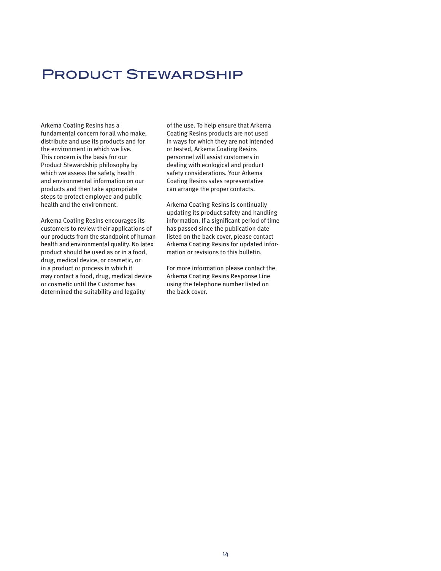## Product Stewardship

Arkema Coating Resins has a fundamental concern for all who make, distribute and use its products and for the environment in which we live. This concern is the basis for our Product Stewardship philosophy by which we assess the safety, health and environmental information on our products and then take appropriate steps to protect employee and public health and the environment.

Arkema Coating Resins encourages its customers to review their applications of our products from the standpoint of human health and environmental quality. No latex product should be used as or in a food, drug, medical device, or cosmetic, or in a product or process in which it may contact a food, drug, medical device or cosmetic until the Customer has determined the suitability and legality

of the use. To help ensure that Arkema Coating Resins products are not used in ways for which they are not intended or tested, Arkema Coating Resins personnel will assist customers in dealing with ecological and product safety considerations. Your Arkema Coating Resins sales representative can arrange the proper contacts.

Arkema Coating Resins is continually updating its product safety and handling information. If a significant period of time has passed since the publication date listed on the back cover, please contact Arkema Coating Resins for updated information or revisions to this bulletin.

For more information please contact the Arkema Coating Resins Response Line using the telephone number listed on the back cover.